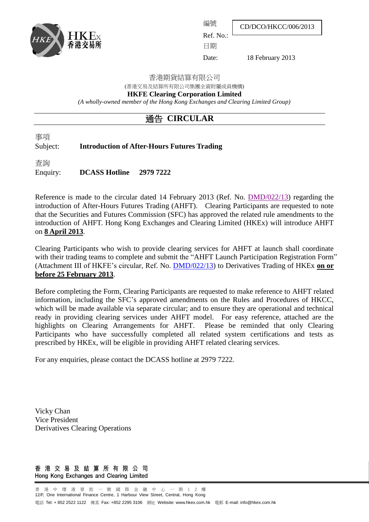

CD/DCO/HKCC/006/2013

Ref. No.:

編號

日期

Date: 18 February 2013

香港期貨結算有限公司

(香港交易及結算所有限公司集團全資附屬成員機構)

**HKFE Clearing Corporation Limited**

*(A wholly-owned member of the Hong Kong Exchanges and Clearing Limited Group)*

# 通告 **CIRCULAR**

事項

Subject: **Introduction of After-Hours Futures Trading**

查詢

Enquiry: **DCASS Hotline 2979 7222**

Reference is made to the circular dated 14 February 2013 (Ref. No. [DMD/022/13\)](http://www.hkex.com.hk/eng/market/partcir/hkfe/2013/Documents/DMD_022_13_e.pdf) regarding the introduction of After-Hours Futures Trading (AHFT). Clearing Participants are requested to note that the Securities and Futures Commission (SFC) has approved the related rule amendments to the introduction of AHFT. Hong Kong Exchanges and Clearing Limited (HKEx) will introduce AHFT on **8 April 2013**.

Clearing Participants who wish to provide clearing services for AHFT at launch shall coordinate with their trading teams to complete and submit the "AHFT Launch Participation Registration Form" (Attachment III of HKFE's circular, Ref. No. [DMD/022/13\)](http://www.hkex.com.hk/eng/market/partcir/hkfe/2013/Documents/DMD_022_13_e.pdf) to Derivatives Trading of HKEx **on or before 25 February 2013**.

Before completing the Form, Clearing Participants are requested to make reference to AHFT related information, including the SFC's approved amendments on the Rules and Procedures of HKCC, which will be made available via separate circular; and to ensure they are operational and technical ready in providing clearing services under AHFT model. For easy reference, attached are the highlights on Clearing Arrangements for AHFT. Please be reminded that only Clearing Participants who have successfully completed all related system certifications and tests as prescribed by HKEx, will be eligible in providing AHFT related clearing services.

For any enquiries, please contact the DCASS hotline at 2979 7222.

Vicky Chan Vice President Derivatives Clearing Operations

#### 香港交易及結算所有限公司 Hong Kong Exchanges and Clearing Limited